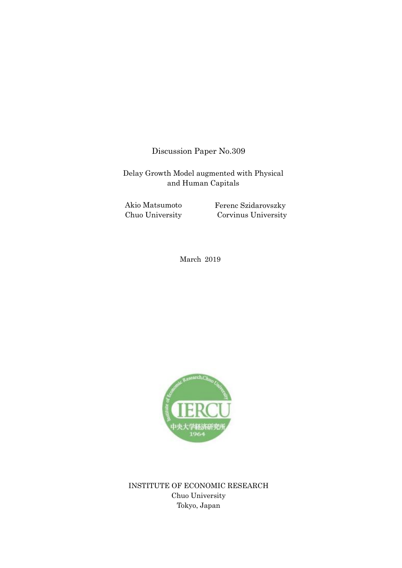Discussion Paper No.309

Delay Growth Model augmented with Physical and Human Capitals

Akio Matsumoto Chuo University Ferenc Szidarovszky Corvinus University

March 2019



INSTITUTE OF ECONOMIC RESEARCH Chuo University Tokyo, Japan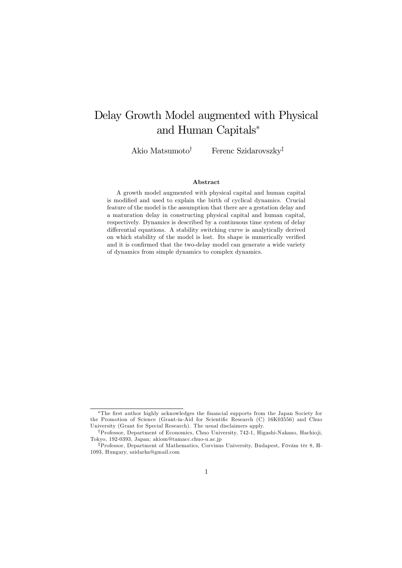# Delay Growth Model augmented with Physical and Human Capitals<sup>∗</sup>

Akio Matsumoto<sup>†</sup> Ferenc Szidarovszky<sup>‡</sup>

#### Abstract

A growth model augmented with physical capital and human capital is modified and used to explain the birth of cyclical dynamics. Crucial feature of the model is the assumption that there are a gestation delay and a maturation delay in constructing physical capital and human capital, respectively. Dynamics is described by a continuous time system of delay differential equations. A stability switching curve is analytically derived on which stability of the model is lost. Its shape is numerically verified and it is confirmed that the two-delay model can generate a wide variety of dynamics from simple dynamics to complex dynamics.

<sup>∗</sup>The first author highly acknowledges the financial supports from the Japan Society for the Promotion of Science (Grant-in-Aid for Scientific Research (C) 16K03556) and Chuo University (Grant for Special Research). The usual disclaimers apply.

<sup>†</sup>Professor, Department of Economics, Chuo University, 742-1, Higashi-Nakano, Hachio ji, Tokyo, 192-0393, Japan; akiom@tamacc.chuo-u.ac.jp

<sup>‡</sup>Professor, Department of Mathematics, Corvinus University, Budapest, Fövám tèr 8, H-1093, Hungary, szidarka@gmail.com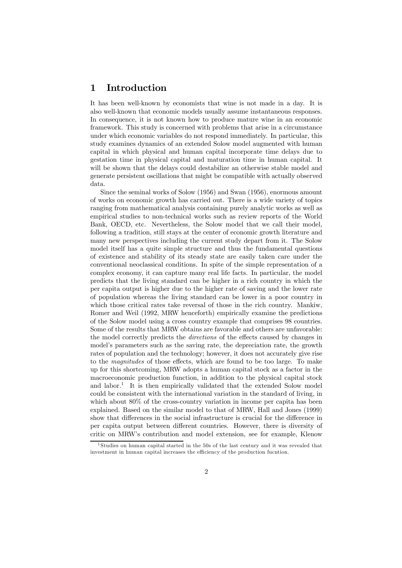### 1 Introduction

It has been well-known by economists that wine is not made in a day. It is also well-known that economic models usually assume instantaneous responses. In consequence, it is not known how to produce mature wine in an economic framework. This study is concerned with problems that arise in a circumstance under which economic variables do not respond immediately. In particular, this study examines dynamics of an extended Solow model augmented with human capital in which physical and human capital incorporate time delays due to gestation time in physical capital and maturation time in human capital. It will be shown that the delays could destabilize an otherwise stable model and generate persistent oscillations that might be compatible with actually observed data.

Since the seminal works of Solow (1956) and Swan (1956), enormous amount of works on economic growth has carried out. There is a wide variety of topics ranging from mathematical analysis containing purely analytic works as well as empirical studies to non-technical works such as review reports of the World Bank, OECD, etc. Nevertheless, the Solow model that we call their model, following a tradition, still stays at the center of economic growth literature and many new perspectives including the current study depart from it. The Solow model itself has a quite simple structure and thus the fundamental questions of existence and stability of its steady state are easily taken care under the conventional neoclassical conditions. In spite of the simple representation of a complex economy, it can capture many real life facts. In particular, the model predicts that the living standard can be higher in a rich country in which the per capita output is higher due to the higher rate of saving and the lower rate of population whereas the living standard can be lower in a poor country in which those critical rates take reversal of those in the rich country. Mankiw, Romer and Weil (1992, MRW henceforth) empirically examine the predictions of the Solow model using a cross country example that comprises 98 countries. Some of the results that MRW obtains are favorable and others are unfavorable: the model correctly predicts the directions of the effects caused by changes in model's parameters such as the saving rate, the depreciation rate, the growth rates of population and the technology; however, it does not accurately give rise to the magnitudes of those effects, which are found to be too large. To make up for this shortcoming, MRW adopts a human capital stock as a factor in the macroeconomic production function, in addition to the physical capital stock and labor.<sup>1</sup> It is then empirically validated that the extended Solow model could be consistent with the international variation in the standard of living, in which about 80% of the cross-country variation in income per capita has been explained. Based on the similar model to that of MRW, Hall and Jones (1999) show that differences in the social infrastructure is crucial for the difference in per capita output between different countries. However, there is diversity of critic on MRW's contribution and model extension, see for example, Klenow

<sup>&</sup>lt;sup>1</sup> Studies on human capital started in the 50s of the last century and it was revealed that investment in human capital increases the efficiency of the production fucntion.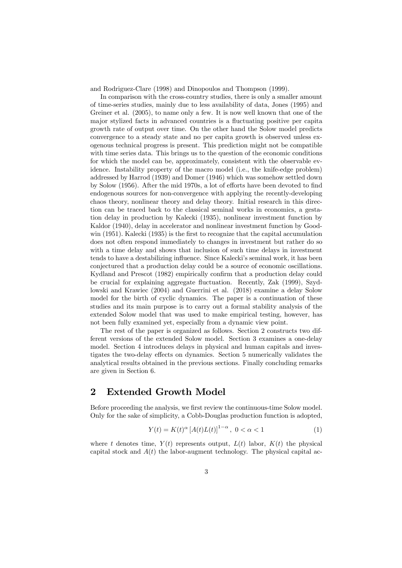and Rodriguez-Clare (1998) and Dinopoulos and Thompson (1999).

In comparison with the cross-country studies, there is only a smaller amount of time-series studies, mainly due to less availability of data, Jones (1995) and Greiner et al. (2005), to name only a few. It is now well known that one of the major stylized facts in advanced countries is a fluctuating positive per capita growth rate of output over time. On the other hand the Solow model predicts convergence to a steady state and no per capita growth is observed unless exogenous technical progress is present. This prediction might not be compatible with time series data. This brings us to the question of the economic conditions for which the model can be, approximately, consistent with the observable evidence. Instability property of the macro model (i.e., the knife-edge problem) addressed by Harrod (1939) and Domer (1946) which was somehow settled down by Solow (1956). After the mid 1970s, a lot of efforts have been devoted to find endogenous sources for non-convergence with applying the recently-developing chaos theory, nonlinear theory and delay theory. Initial research in this direction can be traced back to the classical seminal works in economics, a gestation delay in production by Kalecki (1935), nonlinear investment function by Kaldor (1940), delay in accelerator and nonlinear investment function by Goodwin (1951). Kalecki (1935) is the first to recognize that the capital accumulation does not often respond immediately to changes in investment but rather do so with a time delay and shows that inclusion of such time delays in investment tends to have a destabilizing influence. Since Kalecki's seminal work, it has been conjectured that a production delay could be a source of economic oscillations. Kydland and Prescot (1982) empirically confirm that a production delay could be crucial for explaining aggregate fluctuation. Recently, Zak (1999), Szydlowski and Krawiec (2004) and Guerrini et al. (2018) examine a delay Solow model for the birth of cyclic dynamics. The paper is a continuation of these studies and its main purpose is to carry out a formal stability analysis of the extended Solow model that was used to make empirical testing, however, has not been fully examined yet, especially from a dynamic view point.

The rest of the paper is organized as follows. Section 2 constructs two different versions of the extended Solow model. Section 3 examines a one-delay model. Section 4 introduces delays in physical and human capitals and investigates the two-delay effects on dynamics. Section 5 numerically validates the analytical results obtained in the previous sections. Finally concluding remarks are given in Section 6.

### 2 Extended Growth Model

Before proceeding the analysis, we first review the continuous-time Solow model. Only for the sake of simplicity, a Cobb-Douglas production function is adopted,

$$
Y(t) = K(t)^{\alpha} [A(t)L(t)]^{1-\alpha}, \ 0 < \alpha < 1
$$
 (1)

where t denotes time,  $Y(t)$  represents output,  $L(t)$  labor,  $K(t)$  the physical capital stock and  $A(t)$  the labor-augment technology. The physical capital ac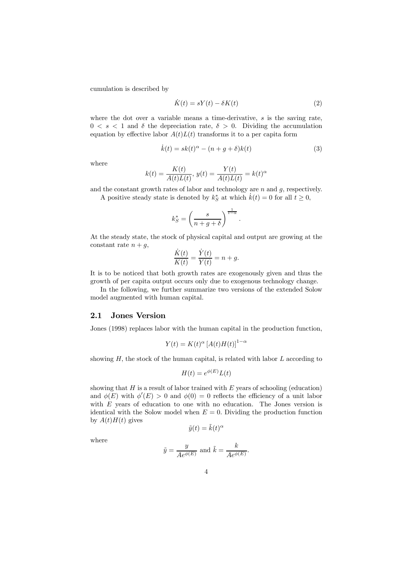cumulation is described by

$$
\dot{K}(t) = sY(t) - \delta K(t) \tag{2}
$$

where the dot over a variable means a time-derivative, s is the saving rate,  $0 \lt s \lt 1$  and  $\delta$  the depreciation rate,  $\delta > 0$ . Dividing the accumulation equation by effective labor  $A(t)L(t)$  transforms it to a per capita form

$$
\dot{k}(t) = sk(t)^{\alpha} - (n + g + \delta)k(t)
$$
\n(3)

where

$$
k(t) = \frac{K(t)}{A(t)L(t)}, \ y(t) = \frac{Y(t)}{A(t)L(t)} = k(t)^{\alpha}
$$

and the constant growth rates of labor and technology are  $n$  and  $g$ , respectively.

A positive steady state is denoted by  $k_S^*$  at which  $\dot{k}(t) = 0$  for all  $t \ge 0$ ,

$$
k_S^* = \left(\frac{s}{n+g+\delta}\right)^{\frac{1}{1-\alpha}}.
$$

At the steady state, the stock of physical capital and output are growing at the constant rate  $n + g$ ,

$$
\frac{\dot{K}(t)}{K(t)} = \frac{\dot{Y}(t)}{Y(t)} = n + g.
$$

It is to be noticed that both growth rates are exogenously given and thus the growth of per capita output occurs only due to exogenous technology change.

In the following, we further summarize two versions of the extended Solow model augmented with human capital.

### 2.1 Jones Version

Jones (1998) replaces labor with the human capital in the production function,

$$
Y(t) = K(t)^{\alpha} \left[ A(t)H(t) \right]^{1-\alpha}
$$

showing  $H$ , the stock of the human capital, is related with labor  $L$  according to

$$
H(t) = e^{\phi(E)} L(t)
$$

showing that  $H$  is a result of labor trained with  $E$  years of schooling (education) and  $\phi(E)$  with  $\phi'(E) > 0$  and  $\phi(0) = 0$  reflects the efficiency of a unit labor with E years of education to one with no education. The Jones version is identical with the Solow model when  $E = 0$ . Dividing the production function by  $A(t)H(t)$  gives

$$
\tilde{y}(t) = \tilde{k}(t)^{\alpha}
$$

where

$$
\tilde{y} = \frac{y}{Ae^{\phi(E)}}
$$
 and  $\tilde{k} = \frac{k}{Ae^{\phi(E)}}$ .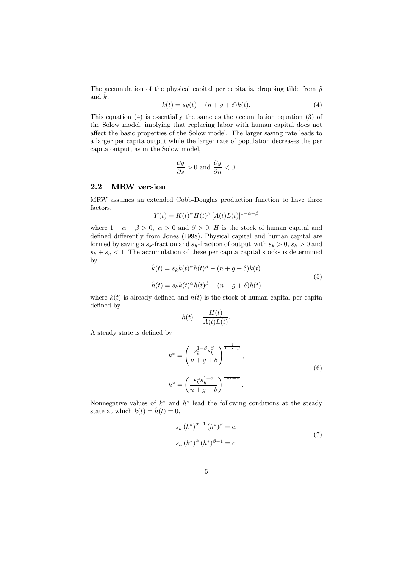The accumulation of the physical capital per capita is, dropping tilde from  $\tilde{y}$ and  $k$ ,

$$
\dot{k}(t) = sy(t) - (n + g + \delta)k(t).
$$
 (4)

This equation (4) is essentially the same as the accumulation equation (3) of the Solow model, implying that replacing labor with human capital does not affect the basic properties of the Solow model. The larger saving rate leads to a larger per capita output while the larger rate of population decreases the per capita output, as in the Solow model,

$$
\frac{\partial y}{\partial s} > 0 \text{ and } \frac{\partial y}{\partial n} < 0.
$$

### 2.2 MRW version

MRW assumes an extended Cobb-Douglas production function to have three factors,

$$
Y(t) = K(t)^{\alpha} H(t)^{\beta} [A(t)L(t)]^{1-\alpha-\beta}
$$

where  $1 - \alpha - \beta > 0$ ,  $\alpha > 0$  and  $\beta > 0$ . H is the stock of human capital and defined differently from Jones (1998). Physical capital and human capital are formed by saving a  $s_k$ -fraction and  $s_h$ -fraction of output with  $s_k > 0$ ,  $s_h > 0$  and  $s_k + s_h < 1$ . The accumulation of these per capital capital stocks is determined by  $\vec{k}$ 

$$
\dot{k}(t) = s_k k(t)^{\alpha} h(t)^{\beta} - (n+g+\delta) k(t)
$$
  
\n
$$
\dot{h}(t) = s_h k(t)^{\alpha} h(t)^{\beta} - (n+g+\delta) h(t)
$$
\n(5)

where  $k(t)$  is already defined and  $h(t)$  is the stock of human capital per capital defined by

$$
h(t) = \frac{H(t)}{A(t)L(t)}.
$$

A steady state is defined by

$$
k^* = \left(\frac{s_k^{1-\beta} s_h^{\beta}}{n+g+\delta}\right)^{\frac{1}{1-\alpha-\beta}},
$$
  

$$
h^* = \left(\frac{s_k^{\alpha} s_h^{1-\alpha}}{n+g+\delta}\right)^{\frac{1}{1-\alpha-\beta}}.
$$
  
(6)

Nonnegative values of  $k^*$  and  $h^*$  lead the following conditions at the steady state at which  $\dot{k}(t) = \dot{h}(t) = 0$ ,

$$
s_k (k^*)^{\alpha - 1} (h^*)^{\beta} = c,
$$
  
\n
$$
s_h (k^*)^{\alpha} (h^*)^{\beta - 1} = c
$$
\n(7)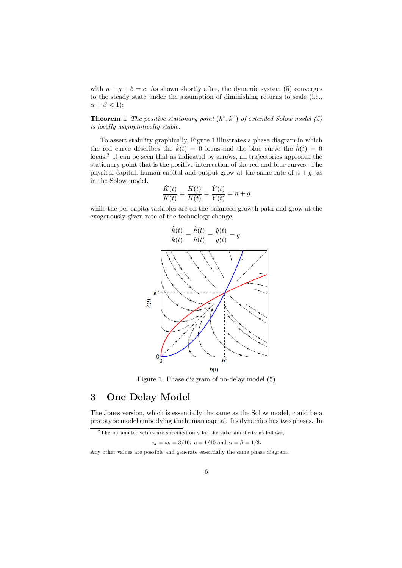with  $n + q + \delta = c$ . As shown shortly after, the dynamic system (5) converges to the steady state under the assumption of diminishing returns to scale (i.e.,  $\alpha + \beta < 1$ :

**Theorem 1** The positive stationary point  $(h^*, k^*)$  of extended Solow model (5) is locally asymptotically stable.

To assert stability graphically, Figure 1 illustrates a phase diagram in which the red curve describes the  $\dot{k}(t)=0$  locus and the blue curve the  $\dot{h}(t)=0$ locus.<sup>2</sup> It can be seen that as indicated by arrows, all trajectories approach the stationary point that is the positive intersection of the red and blue curves. The physical capital, human capital and output grow at the same rate of  $n + g$ , as in the Solow model,

$$
\frac{\dot{K}(t)}{K(t)} = \frac{\dot{H}(t)}{H(t)} = \frac{\dot{Y}(t)}{Y(t)} = n + g
$$

while the per capita variables are on the balanced growth path and grow at the exogenously given rate of the technology change,



Figure 1. Phase diagram of no-delay model (5)

### 3 One Delay Model

The Jones version, which is essentially the same as the Solow model, could be a prototype model embodying the human capital. Its dynamics has two phases. In

 $s_k = s_h = 3/10, c = 1/10$  and  $\alpha = \beta = 1/3$ .

 $2$ The parameter values are specified only for the sake simplicity as follows,

Any other values are possible and generate essentially the same phase diagram.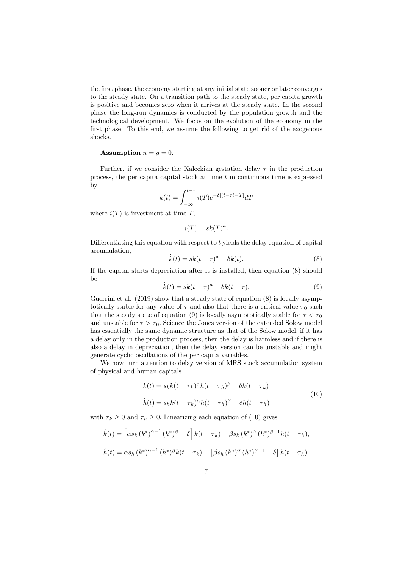the first phase, the economy starting at any initial state sooner or later converges to the steady state. On a transition path to the steady state, per capita growth is positive and becomes zero when it arrives at the steady state. In the second phase the long-run dynamics is conducted by the population growth and the technological development. We focus on the evolution of the economy in the first phase. To this end, we assume the following to get rid of the exogenous shocks.

#### Assumption  $n = g = 0$ .

Further, if we consider the Kaleckian gestation delay  $\tau$  in the production process, the per capital capital stock at time  $t$  in continuous time is expressed by

$$
k(t) = \int_{-\infty}^{t-\tau} i(T) e^{-\delta[(t-\tau)-T]} dT
$$

where  $i(T)$  is investment at time T,

$$
i(T) = sk(T)^a.
$$

Differentiating this equation with respect to  $t$  yields the delay equation of capital accumulation,

$$
\dot{k}(t) = sk(t - \tau)^a - \delta k(t). \tag{8}
$$

If the capital starts depreciation after it is installed, then equation (8) should be

$$
\dot{k}(t) = sk(t - \tau)^a - \delta k(t - \tau). \tag{9}
$$

Guerrini et al. (2019) show that a steady state of equation (8) is locally asymptotically stable for any value of  $\tau$  and also that there is a critical value  $\tau_0$  such that the steady state of equation (9) is locally asymptotically stable for  $\tau < \tau_0$ and unstable for  $\tau > \tau_0$ . Science the Jones version of the extended Solow model has essentially the same dynamic structure as that of the Solow model, if it has a delay only in the production process, then the delay is harmless and if there is also a delay in depreciation, then the delay version can be unstable and might generate cyclic oscillations of the per capita variables.

We now turn attention to delay version of MRS stock accumulation system of physical and human capitals

$$
\dot{k}(t) = s_k k(t - \tau_k)^{\alpha} h(t - \tau_h)^{\beta} - \delta k(t - \tau_k)
$$
  
\n
$$
\dot{h}(t) = s_h k(t - \tau_k)^{\alpha} h(t - \tau_h)^{\beta} - \delta h(t - \tau_h)
$$
\n(10)

with  $\tau_k \geq 0$  and  $\tau_h \geq 0$ . Linearizing each equation of (10) gives

$$
\dot{k}(t) = \left[ \alpha s_k (k^*)^{\alpha - 1} (h^*)^{\beta} - \delta \right] k(t - \tau_k) + \beta s_k (k^*)^{\alpha} (h^*)^{\beta - 1} h(t - \tau_h),
$$
  

$$
\dot{h}(t) = \alpha s_h (k^*)^{\alpha - 1} (h^*)^{\beta} k(t - \tau_k) + \left[ \beta s_h (k^*)^{\alpha} (h^*)^{\beta - 1} - \delta \right] h(t - \tau_h).
$$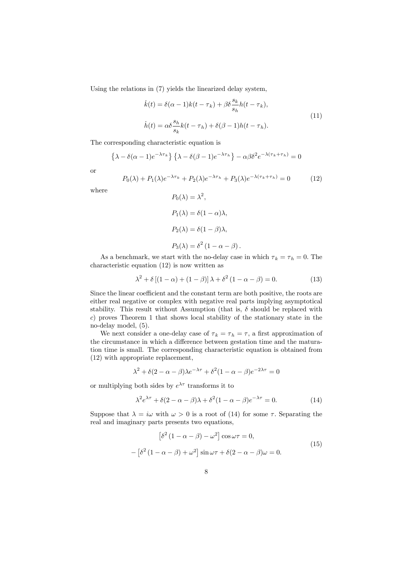Using the relations in (7) yields the linearized delay system,

$$
\dot{k}(t) = \delta(\alpha - 1)k(t - \tau_k) + \beta \delta \frac{s_k}{s_h} h(t - \tau_k),
$$
  
\n
$$
\dot{h}(t) = \alpha \delta \frac{s_h}{s_k} k(t - \tau_h) + \delta(\beta - 1)h(t - \tau_h).
$$
\n(11)

The corresponding characteristic equation is

$$
\left\{\lambda - \delta(\alpha - 1)e^{-\lambda \tau_k}\right\} \left\{\lambda - \delta(\beta - 1)e^{-\lambda \tau_h}\right\} - \alpha \beta \delta^2 e^{-\lambda(\tau_k + \tau_h)} = 0
$$

or

$$
P_0(\lambda) + P_1(\lambda)e^{-\lambda \tau_k} + P_2(\lambda)e^{-\lambda \tau_k} + P_3(\lambda)e^{-\lambda(\tau_k + \tau_k)} = 0 \tag{12}
$$

where

$$
P_0(\lambda) = \lambda^2,
$$
  
\n
$$
P_1(\lambda) = \delta(1 - \alpha)\lambda,
$$
  
\n
$$
P_2(\lambda) = \delta(1 - \beta)\lambda,
$$
  
\n
$$
P_3(\lambda) = \delta^2(1 - \alpha - \beta).
$$

As a benchmark, we start with the no-delay case in which  $\tau_k = \tau_h = 0$ . The characteristic equation (12) is now written as

$$
\lambda^2 + \delta \left[ (1 - \alpha) + (1 - \beta) \right] \lambda + \delta^2 \left( 1 - \alpha - \beta \right) = 0. \tag{13}
$$

Since the linear coefficient and the constant term are both positive, the roots are either real negative or complex with negative real parts implying asymptotical stability. This result without Assumption (that is,  $\delta$  should be replaced with c) proves Theorem 1 that shows local stability of the stationary state in the no-delay model, (5).

We next consider a one-delay case of  $\tau_k = \tau_h = \tau$ , a first approximation of the circumstance in which a difference between gestation time and the maturation time is small. The corresponding characteristic equation is obtained from (12) with appropriate replacement,

$$
\lambda^2 + \delta(2 - \alpha - \beta)\lambda e^{-\lambda \tau} + \delta^2(1 - \alpha - \beta)e^{-2\lambda \tau} = 0
$$

or multiplying both sides by  $e^{\lambda \tau}$  transforms it to

$$
\lambda^2 e^{\lambda \tau} + \delta (2 - \alpha - \beta) \lambda + \delta^2 (1 - \alpha - \beta) e^{-\lambda \tau} = 0.
$$
 (14)

Suppose that  $\lambda = i\omega$  with  $\omega > 0$  is a root of (14) for some  $\tau$ . Separating the real and imaginary parts presents two equations,

$$
[\delta^2 (1 - \alpha - \beta) - \omega^2] \cos \omega \tau = 0,
$$
  

$$
- [\delta^2 (1 - \alpha - \beta) + \omega^2] \sin \omega \tau + \delta (2 - \alpha - \beta) \omega = 0.
$$
 (15)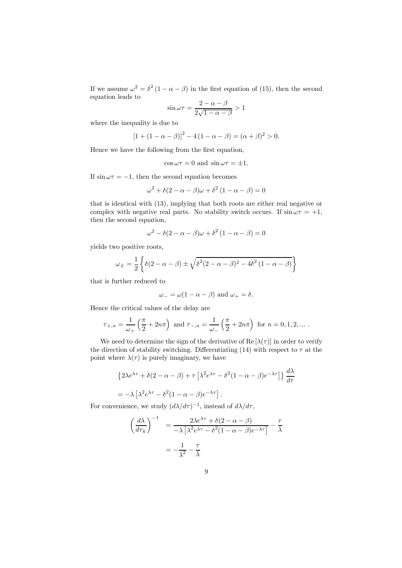If we assume  $\omega^2 = \delta^2 (1 - \alpha - \beta)$  in the first equation of (15), then the second equation leads to

$$
\sin \omega \tau = \frac{2 - \alpha - \beta}{2\sqrt{1 - \alpha - \beta}} > 1
$$

where the inequality is due to

$$
[1 + (1 - \alpha - \beta)]^2 - 4(1 - \alpha - \beta) = (\alpha + \beta)^2 > 0.
$$

Hence we have the following from the first equation,

$$
\cos \omega \tau = 0
$$
 and  $\sin \omega \tau = \pm 1$ .

If  $\sin \omega \tau = -1$ , then the second equation becomes

$$
\omega^2 + \delta(2 - \alpha - \beta)\omega + \delta^2(1 - \alpha - \beta) = 0
$$

that is identical with (13), implying that both roots are either real negative or complex with negative real parts. No stability switch occurs. If  $\sin \omega \tau = +1$ , then the second equation,

$$
\omega^2 - \delta(2 - \alpha - \beta)\omega + \delta^2(1 - \alpha - \beta) = 0
$$

yields two positive roots,

$$
\omega_{\pm} = \frac{1}{2} \left\{ \delta(2 - \alpha - \beta) \pm \sqrt{\delta^2 (2 - \alpha - \beta)^2 - 4\delta^2 (1 - \alpha - \beta)} \right\}
$$

that is further reduced to

$$
\omega_{-} = \omega(1 - \alpha - \beta) \text{ and } \omega_{+} = \delta.
$$

Hence the critical values of the delay are

$$
\tau_{+,n} = \frac{1}{\omega_+} \left( \frac{\pi}{2} + 2n\pi \right) \text{ and } \tau_{-,n} = \frac{1}{\omega_-} \left( \frac{\pi}{2} + 2n\pi \right) \text{ for } n = 0, 1, 2, \dots.
$$

We need to determine the sign of the derivative of  $\text{Re}[\lambda(\tau)]$  in order to verify the direction of stability switching. Differentiating (14) with respect to  $\tau$  at the point where  $\lambda(\tau)$  is purely imaginary, we have

$$
\{2\lambda e^{\lambda \tau} + \delta(2 - \alpha - \beta) + \tau \left[\lambda^2 e^{\lambda \tau} - \delta^2 (1 - \alpha - \beta) e^{-\lambda \tau}\right]\} \frac{d\lambda}{d\tau}
$$

$$
= -\lambda \left[\lambda^2 e^{\lambda \tau} - \delta^2 (1 - \alpha - \beta) e^{-\lambda \tau}\right].
$$

For convenience, we study  $(d\lambda/d\tau)^{-1}$ , instead of  $d\lambda/d\tau$ ,

$$
\left(\frac{d\lambda}{d\tau_k}\right)^{-1} = \frac{2\lambda e^{\lambda \tau} + \delta(2 - \alpha - \beta)}{-\lambda \left[\lambda^2 e^{\lambda \tau} - \delta^2 (1 - \alpha - \beta)e^{-\lambda \tau}\right]} - \frac{\tau}{\lambda}
$$

$$
= -\frac{1}{\lambda^2} - \frac{\tau}{\lambda}
$$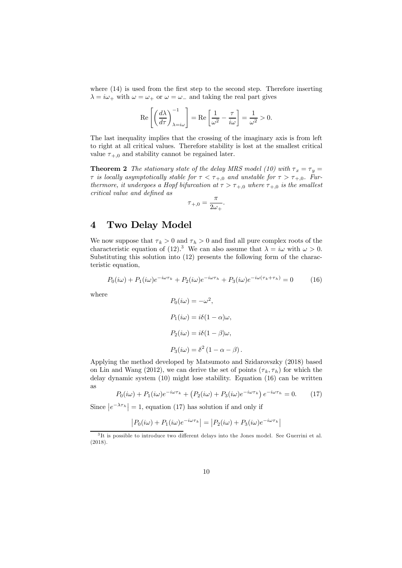where (14) is used from the first step to the second step. Therefore inserting  $\lambda = i\omega_+$  with  $\omega = \omega_+$  or  $\omega = \omega_-$  and taking the real part gives

$$
\operatorname{Re}\left[\left(\frac{d\lambda}{d\tau}\right)^{-1}_{\lambda=i\omega}\right] = \operatorname{Re}\left[\frac{1}{\omega^2} - \frac{\tau}{i\omega}\right] = \frac{1}{\omega^2} > 0.
$$

The last inequality implies that the crossing of the imaginary axis is from left to right at all critical values. Therefore stability is lost at the smallest critical value  $\tau_{+,0}$  and stability cannot be regained later.

**Theorem 2** The stationary state of the delay MRS model (10) with  $\tau_x = \tau_y$  $\tau$  is locally asymptotically stable for  $\tau < \tau_{+,0}$  and unstable for  $\tau > \tau_{+,0}$ . Furthermore, it undergoes a Hopf bifurcation at  $\tau > \tau_{+,0}$  where  $\tau_{+,0}$  is the smallest critical value and defined as

$$
\tau_{+,0} = \frac{\pi}{2\omega_+}.
$$

## 4 Two Delay Model

We now suppose that  $\tau_k > 0$  and  $\tau_h > 0$  and find all pure complex roots of the characteristic equation of (12).<sup>3</sup> We can also assume that  $\lambda = i\omega$  with  $\omega > 0$ . Substituting this solution into (12) presents the following form of the characteristic equation,

$$
P_0(i\omega) + P_1(i\omega)e^{-i\omega\tau_k} + P_2(i\omega)e^{-i\omega\tau_k} + P_3(i\omega)e^{-i\omega(\tau_k + \tau_k)} = 0 \tag{16}
$$

where

$$
P_0(i\omega) = -\omega^2,
$$
  
\n
$$
P_1(i\omega) = i\delta(1-\alpha)\omega,
$$
  
\n
$$
P_2(i\omega) = i\delta(1-\beta)\omega,
$$
  
\n
$$
P_3(i\omega) = \delta^2(1-\alpha-\beta).
$$

Applying the method developed by Matsumoto and Szidarovszky (2018) based on Lin and Wang (2012), we can derive the set of points  $(\tau_k, \tau_h)$  for which the delay dynamic system (10) might lose stability. Equation (16) can be written as

$$
P_0(i\omega) + P_1(i\omega)e^{-i\omega\tau_k} + (P_2(i\omega) + P_3(i\omega)e^{-i\omega\tau_k})e^{-i\omega\tau_k} = 0.
$$
 (17)

Since  $|e^{-\lambda \tau_h}| = 1$ , equation (17) has solution if and only if

$$
|P_0(i\omega) + P_1(i\omega)e^{-i\omega\tau_k}| = |P_2(i\omega) + P_3(i\omega)e^{-i\omega\tau_k}|
$$

<sup>3</sup> It is possible to introduce two different delays into the Jones model. See Guerrini et al. (2018).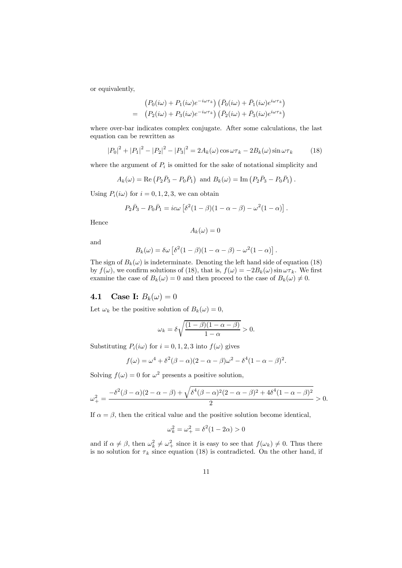or equivalently,

$$
\begin{aligned} \left(P_0(i\omega) + P_1(i\omega)e^{-i\omega\tau_k}\right)\left(\bar{P}_0(i\omega) + \bar{P}_1(i\omega)e^{i\omega\tau_k}\right) \\ = \quad &\left(P_2(i\omega) + P_3(i\omega)e^{-i\omega\tau_k}\right)\left(\bar{P}_2(i\omega) + \bar{P}_3(i\omega)e^{i\omega\tau_k}\right) \end{aligned}
$$

where over-bar indicates complex conjugate. After some calculations, the last equation can be rewritten as

$$
|P_0|^2 + |P_1|^2 - |P_2|^2 - |P_3|^2 = 2A_k(\omega)\cos\omega\tau_k - 2B_k(\omega)\sin\omega\tau_k
$$
 (18)

where the argument of  $P_i$  is omitted for the sake of notational simplicity and

$$
A_k(\omega) = \text{Re}(P_2\bar{P}_3 - P_0\bar{P}_1) \text{ and } B_k(\omega) = \text{Im}(P_2\bar{P}_3 - P_0\bar{P}_1).
$$

Using  $P_i(i\omega)$  for  $i = 0, 1, 2, 3$ , we can obtain

$$
P_2\bar{P}_3 - P_0\bar{P}_1 = i c\omega \left[ \delta^2 (1-\beta)(1-\alpha-\beta) - \omega^2 (1-\alpha) \right].
$$

Hence

$$
A_k(\omega)=0
$$

and

$$
B_k(\omega) = \delta \omega \left[ \delta^2 (1 - \beta)(1 - \alpha - \beta) - \omega^2 (1 - \alpha) \right]
$$

.

The sign of  $B_k(\omega)$  is indeterminate. Denoting the left hand side of equation (18) by  $f(\omega)$ , we confirm solutions of (18), that is,  $f(\omega) = -2B_k(\omega) \sin \omega \tau_k$ . We first examine the case of  $B_k(\omega)=0$  and then proceed to the case of  $B_k(\omega)\neq 0$ .

## **4.1** Case I:  $B_k(\omega) = 0$

Let  $\omega_k$  be the positive solution of  $B_k(\omega)=0$ ,

$$
\omega_k = \delta \sqrt{\frac{(1-\beta)(1-\alpha-\beta)}{1-\alpha}} > 0.
$$

Substituting  $P_i(i\omega)$  for  $i = 0, 1, 2, 3$  into  $f(\omega)$  gives

$$
f(\omega) = \omega^4 + \delta^2(\beta - \alpha)(2 - \alpha - \beta)\omega^2 - \delta^4(1 - \alpha - \beta)^2.
$$

Solving  $f(\omega)=0$  for  $\omega^2$  presents a positive solution,

$$
\omega_{+}^{2} = \frac{-\delta^{2}(\beta - \alpha)(2 - \alpha - \beta) + \sqrt{\delta^{4}(\beta - \alpha)^{2}(2 - \alpha - \beta)^{2} + 4\delta^{4}(1 - \alpha - \beta)^{2}}}{2} > 0.
$$

If  $\alpha = \beta$ , then the critical value and the positive solution become identical,

$$
\omega_k^2 = \omega_+^2 = \delta^2 (1 - 2\alpha) > 0
$$

and if  $\alpha \neq \beta$ , then  $\omega_k^2 \neq \omega_+^2$  since it is easy to see that  $f(\omega_k) \neq 0$ . Thus there is no solution for  $\tau_k$  since equation (18) is contradicted. On the other hand, if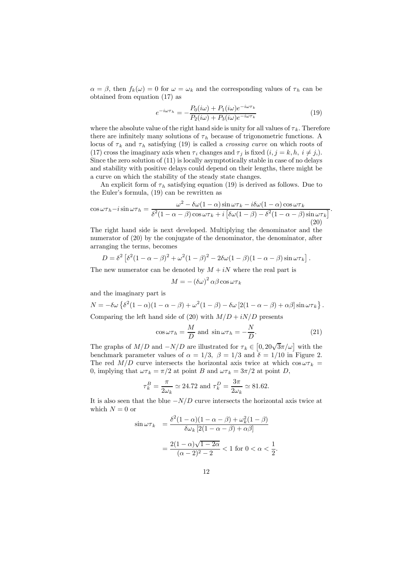$\alpha = \beta$ , then  $f_k(\omega) = 0$  for  $\omega = \omega_k$  and the corresponding values of  $\tau_h$  can be obtained from equation (17) as

$$
e^{-i\omega\tau_h} = -\frac{P_0(i\omega) + P_1(i\omega)e^{-i\omega\tau_k}}{P_2(i\omega) + P_3(i\omega)e^{-i\omega\tau_k}}
$$
\n(19)

where the absolute value of the right hand side is unity for all values of  $\tau_k$ . Therefore there are infinitely many solutions of  $\tau_h$  because of trigonometric functions. A locus of  $\tau_k$  and  $\tau_h$  satisfying (19) is called a *crossing curve* on which roots of (17) cross the imaginary axis when  $\tau_i$  changes and  $\tau_j$  is fixed  $(i, j = k, h, i \neq j)$ . Since the zero solution of (11) is locally asymptotically stable in case of no delays and stability with positive delays could depend on their lengths, there might be a curve on which the stability of the steady state changes.

An explicit form of  $\tau_h$  satisfying equation (19) is derived as follows. Due to the Euler's formula, (19) can be rewritten as

$$
\cos \omega \tau_h - i \sin \omega \tau_h = \frac{\omega^2 - \delta \omega (1 - \alpha) \sin \omega \tau_k - i \delta \omega (1 - \alpha) \cos \omega \tau_k}{\delta^2 (1 - \alpha - \beta) \cos \omega \tau_k + i \left[ \delta \omega (1 - \beta) - \delta^2 (1 - \alpha - \beta) \sin \omega \tau_k \right]}.
$$
\n(20)

The right hand side is next developed. Multiplying the denominator and the numerator of (20) by the conjugate of the denominator, the denominator, after arranging the terms, becomes

$$
D = \delta^2 \left[ \delta^2 (1 - \alpha - \beta)^2 + \omega^2 (1 - \beta)^2 - 2\delta \omega (1 - \beta)(1 - \alpha - \beta) \sin \omega \tau_k \right].
$$

The new numerator can be denoted by  $M + iN$  where the real part is

$$
M = -(\delta \omega)^2 \alpha \beta \cos \omega \tau_k
$$

and the imaginary part is

$$
N = -\delta\omega \left\{ \delta^2 (1-\alpha)(1-\alpha-\beta) + \omega^2 (1-\beta) - \delta\omega [2(1-\alpha-\beta) + \alpha\beta] \sin \omega \tau_k \right\}.
$$

Comparing the left hand side of (20) with  $M/D + iN/D$  presents

$$
\cos \omega \tau_h = \frac{M}{D} \text{ and } \sin \omega \tau_h = -\frac{N}{D}.\tag{21}
$$

The graphs of  $M/D$  and  $-N/D$  are illustrated for  $\tau_k \in [0, 20\sqrt{3}\pi/\omega]$  with the benchmark parameter values of  $\alpha = 1/3$ ,  $\beta = 1/3$  and  $\delta = 1/10$  in Figure 2. The red  $M/D$  curve intersects the horizontal axis twice at which  $\cos \omega \tau_k =$ 0, implying that  $\omega \tau_k = \pi/2$  at point B and  $\omega \tau_k = 3\pi/2$  at point D,

$$
\tau_k^B = \frac{\pi}{2\omega_k} \simeq 24.72 \text{ and } \tau_k^D = \frac{3\pi}{2\omega_k} \simeq 81.62.
$$

It is also seen that the blue  $-N/D$  curve intersects the horizontal axis twice at which  $N = 0$  or

$$
\sin \omega \tau_k = \frac{\delta^2 (1 - \alpha)(1 - \alpha - \beta) + \omega_k^2 (1 - \beta)}{\delta \omega_k [2(1 - \alpha - \beta) + \alpha \beta]}
$$

$$
= \frac{2(1 - \alpha)\sqrt{1 - 2\alpha}}{(\alpha - 2)^2 - 2} < 1 \text{ for } 0 < \alpha < \frac{1}{2}.
$$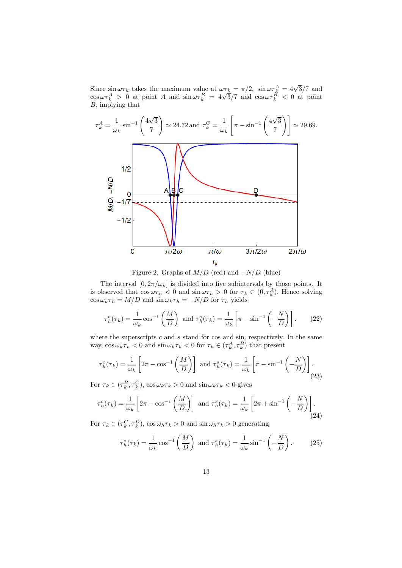Since  $\sin \omega \tau_k$  takes the maximum value at  $\omega \tau_k = \pi/2$ ,  $\sin \omega \tau_k^A = 4\sqrt{3}/7$  and  $\cos \omega \tau_k^A > 0$  at point A and  $\sin \omega \tau_k^B = 4\sqrt{3}/7$  and  $\cos \omega \tau_k^B < 0$  at point B, implying that



Figure 2. Graphs of  $M/D$  (red) and  $-N/D$  (blue)

The interval  $[0, 2\pi/\omega_k]$  is divided into five subintervals by those points. It is observed that  $\cos \omega \tau_h < 0$  and  $\sin \omega \tau_h > 0$  for  $\tau_k \in (0, \tau_k^A)$ . Hence solving  $\cos \omega_k \tau_h = M/D$  and  $\sin \omega_k \tau_h = -N/D$  for  $\tau_h$  yields

$$
\tau_h^c(\tau_k) = \frac{1}{\omega_k} \cos^{-1} \left( \frac{M}{D} \right) \text{ and } \tau_h^s(\tau_k) = \frac{1}{\omega_k} \left[ \pi - \sin^{-1} \left( -\frac{N}{D} \right) \right]. \tag{22}
$$

where the superscripts  $c$  and  $s$  stand for cos and sin, respectively. In the same way,  $\cos \omega_k \tau_h < 0$  and  $\sin \omega_k \tau_h < 0$  for  $\tau_h \in (\tau_k^A, \tau_k^B)$  that present

$$
\tau_h^c(\tau_k) = \frac{1}{\omega_k} \left[ 2\pi - \cos^{-1}\left(\frac{M}{D}\right) \right] \text{ and } \tau_h^s(\tau_k) = \frac{1}{\omega_k} \left[ \pi - \sin^{-1}\left(-\frac{N}{D}\right) \right].
$$
\n(23)

For  $\tau_k \in (\tau_k^B, \tau_k^C)$ ,  $\cos \omega_k \tau_k > 0$  and  $\sin \omega_k \tau_k < 0$  gives

$$
\tau_h^c(\tau_k) = \frac{1}{\omega_k} \left[ 2\pi - \cos^{-1}\left(\frac{M}{D}\right) \right] \text{ and } \tau_h^s(\tau_k) = \frac{1}{\omega_k} \left[ 2\pi + \sin^{-1}\left(-\frac{N}{D}\right) \right].
$$
\n(24)

For  $\tau_k \in (\tau_k^C, \tau_k^D)$ ,  $\cos \omega_h \tau_k > 0$  and  $\sin \omega_h \tau_k > 0$  generating

$$
\tau_h^c(\tau_k) = \frac{1}{\omega_k} \cos^{-1} \left( \frac{M}{D} \right) \text{ and } \tau_h^s(\tau_k) = \frac{1}{\omega_k} \sin^{-1} \left( -\frac{N}{D} \right). \tag{25}
$$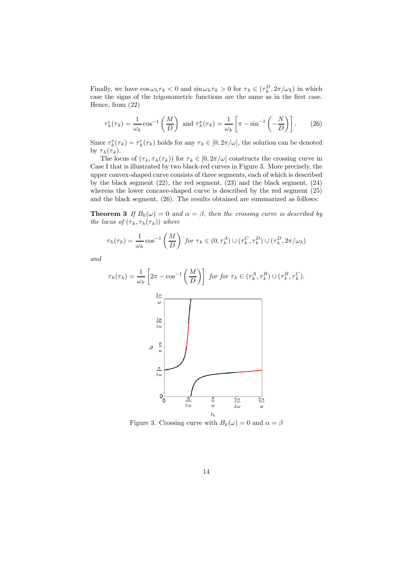Finally, we have  $\cos \omega_h \tau_k < 0$  and  $\sin \omega_h \tau_k > 0$  for  $\tau_k \in (\tau_k^D, 2\pi/\omega_k)$  in which case the signs of the trigonometric functions are the same as in the first case. Hence, from (22)

$$
\tau_h^c(\tau_k) = \frac{1}{\omega_k} \cos^{-1} \left( \frac{M}{D} \right) \text{ and } \tau_h^s(\tau_k) = \frac{1}{\omega_k} \left[ \pi - \sin^{-1} \left( -\frac{N}{D} \right) \right]. \tag{26}
$$

Since  $\tau_h^s(\tau_k) = \tau_h^c(\tau_k)$  holds for any  $\tau_k \in [0, 2\pi/\omega]$ , the solution can be denoted by  $\tau_h(\tau_k)$ .

The locus of  $(\tau_k, \tau_h(\tau_k))$  for  $\tau_k \in [0, 2\pi/\omega]$  constructs the crossing curve in Case I that is illustrated by two black-red curves in Figure 3. More precisely, the upper convex-shaped curve consists of three segments, each of which is described by the black segment (22), the red segment, (23) and the black segment, (24) whereas the lower concave-shaped curve is described by the red segment (25) and the black segment, (26). The results obtained are summarized as follows:

**Theorem 3** If  $B_k(\omega)=0$  and  $\alpha=\beta$ , then the crossing curve is described by the locus of  $(\tau_k, \tau_h(\tau_k))$  where

$$
\tau_h(\tau_k) = \frac{1}{\omega_k} \cos^{-1}\left(\frac{M}{D}\right) \text{ for } \tau_k \in (0, \tau_k^A) \cup (\tau_k^C, \tau_k^D) \cup (\tau_k^D, 2\pi/\omega_k)
$$

and

$$
\tau_h(\tau_k) = \frac{1}{\omega_k} \left[ 2\pi - \cos^{-1}\left(\frac{M}{D}\right) \right] \text{ for for } \tau_k \in (\tau_k^A, \tau_k^B) \cup (\tau_k^B, \tau_k^C).
$$
  

$$
\frac{2\pi}{\omega}
$$
  

$$
\frac{3\pi}{2\omega}
$$
  

$$
\frac{\pi}{2\omega}
$$
  

$$
0
$$
  

$$
0
$$
  

$$
\frac{\pi}{2\omega}
$$
  

$$
\frac{\pi}{2\omega} \frac{\pi}{\omega} \frac{3\pi}{\omega} \frac{2\pi}{2\omega \omega \omega}
$$
  

$$
\tau_h
$$

Figure 3. Crossing curve with  $B_k(\omega)=0$  and  $\alpha = \beta$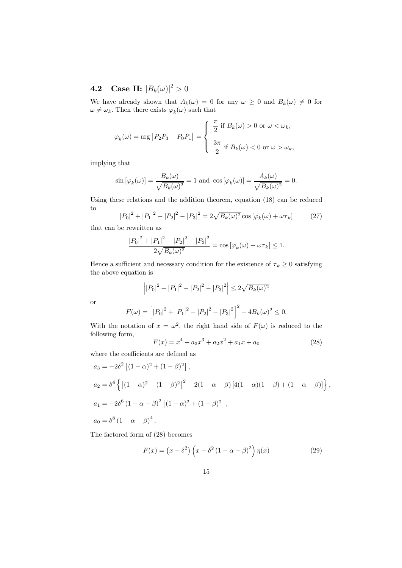# **4.2** Case II:  $|B_k(\omega)|^2 > 0$

We have already shown that  $A_k(\omega)=0$  for any  $\omega\geq 0$  and  $B_k(\omega)\neq 0$  for  $\omega \neq \omega_k$ . Then there exists  $\varphi_k(\omega)$  such that

$$
\varphi_k(\omega) = \arg \left[ P_2 \bar{P}_3 - P_0 \bar{P}_1 \right] = \begin{cases} \frac{\pi}{2} & \text{if } B_k(\omega) > 0 \text{ or } \omega < \omega_k, \\ \frac{3\pi}{2} & \text{if } B_k(\omega) < 0 \text{ or } \omega > \omega_k, \end{cases}
$$

implying that

$$
\sin\left[\varphi_k(\omega)\right] = \frac{B_k(\omega)}{\sqrt{B_k(\omega)^2}} = 1 \text{ and } \cos\left[\varphi_k(\omega)\right] = \frac{A_k(\omega)}{\sqrt{B_k(\omega)^2}} = 0.
$$

Using these relations and the addition theorem, equation (18) can be reduced to

$$
|P_0|^2 + |P_1|^2 - |P_2|^2 - |P_3|^2 = 2\sqrt{B_k(\omega)^2} \cos[\varphi_k(\omega) + \omega \tau_k]
$$
 (27)

that can be rewritten as

$$
\frac{|P_0|^2 + |P_1|^2 - |P_2|^2 - |P_3|^2}{2\sqrt{B_k(\omega)^2}} = \cos\left[\varphi_k(\omega) + \omega\tau_k\right] \le 1.
$$

Hence a sufficient and necessary condition for the existence of  $\tau_k \geq 0$  satisfying the above equation is

$$
\left| |P_0|^2 + |P_1|^2 - |P_2|^2 - |P_3|^2 \right| \le 2\sqrt{B_k(\omega)^2}
$$

or

$$
F(\omega) = \left[ |P_0|^2 + |P_1|^2 - |P_2|^2 - |P_3|^2 \right]^2 - 4B_k(\omega)^2 \le 0.
$$

With the notation of  $x = \omega^2$ , the right hand side of  $F(\omega)$  is reduced to the following form,

$$
F(x) = x4 + a3x3 + a2x2 + a1x + a0
$$
 (28)

where the coefficients are defined as

$$
a_3 = -2\delta^2 \left[ (1 - \alpha)^2 + (1 - \beta)^2 \right],
$$
  
\n
$$
a_2 = \delta^4 \left\{ \left[ (1 - \alpha)^2 - (1 - \beta)^2 \right]^2 - 2(1 - \alpha - \beta) \left[ 4(1 - \alpha)(1 - \beta) + (1 - \alpha - \beta) \right] \right\},
$$
  
\n
$$
a_1 = -2\delta^6 \left( 1 - \alpha - \beta \right)^2 \left[ (1 - \alpha)^2 + (1 - \beta)^2 \right],
$$
  
\n
$$
a_0 = \delta^8 \left( 1 - \alpha - \beta \right)^4.
$$

The factored form of (28) becomes

$$
F(x) = (x - \delta^2) \left( x - \delta^2 (1 - \alpha - \beta)^2 \right) \eta(x) \tag{29}
$$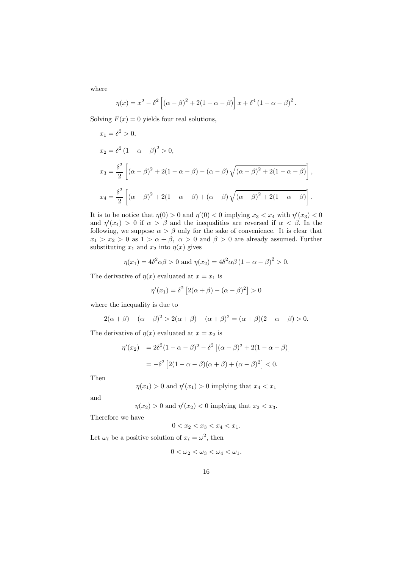where

$$
\eta(x) = x^{2} - \delta^{2} \left[ (\alpha - \beta)^{2} + 2(1 - \alpha - \beta) \right] x + \delta^{4} (1 - \alpha - \beta)^{2}.
$$

Solving  $F(x)=0$  yields four real solutions,

$$
x_1 = \delta^2 > 0,
$$
  
\n
$$
x_2 = \delta^2 (1 - \alpha - \beta)^2 > 0,
$$
  
\n
$$
x_3 = \frac{\delta^2}{2} \left[ (\alpha - \beta)^2 + 2(1 - \alpha - \beta) - (\alpha - \beta) \sqrt{(\alpha - \beta)^2 + 2(1 - \alpha - \beta)} \right],
$$
  
\n
$$
x_4 = \frac{\delta^2}{2} \left[ (\alpha - \beta)^2 + 2(1 - \alpha - \beta) + (\alpha - \beta) \sqrt{(\alpha - \beta)^2 + 2(1 - \alpha - \beta)} \right].
$$

It is to be notice that  $\eta(0) > 0$  and  $\eta'(0) < 0$  implying  $x_3 < x_4$  with  $\eta'(x_3) < 0$ and  $\eta'(x_4) > 0$  if  $\alpha > \beta$  and the inequalities are reversed if  $\alpha < \beta$ . In the following, we suppose  $\alpha > \beta$  only for the sake of convenience. It is clear that  $x_1 > x_2 > 0$  as  $1 > \alpha + \beta$ ,  $\alpha > 0$  and  $\beta > 0$  are already assumed. Further substituting  $x_1$  and  $x_2$  into  $\eta(x)$  gives

$$
\eta(x_1) = 4\delta^2 \alpha \beta > 0
$$
 and  $\eta(x_2) = 4\delta^2 \alpha \beta (1 - \alpha - \beta)^2 > 0$ .

The derivative of  $\eta(x)$  evaluated at  $x = x_1$  is

$$
\eta'(x_1) = \delta^2 \left[ 2(\alpha + \beta) - (\alpha - \beta)^2 \right] > 0
$$

where the inequality is due to

$$
2(\alpha + \beta) - (\alpha - \beta)^2 > 2(\alpha + \beta) - (\alpha + \beta)^2 = (\alpha + \beta)(2 - \alpha - \beta) > 0.
$$

The derivative of  $\eta(x)$  evaluated at  $x = x_2$  is

$$
\eta'(x_2) = 2\delta^2 (1 - \alpha - \beta)^2 - \delta^2 [(\alpha - \beta)^2 + 2(1 - \alpha - \beta)]
$$
  
=  $-\delta^2 [2(1 - \alpha - \beta)(\alpha + \beta) + (\alpha - \beta)^2] < 0.$ 

Then

$$
\eta(x_1) > 0
$$
 and  $\eta'(x_1) > 0$  implying that  $x_4 < x_1$ 

and

$$
\eta(x_2) > 0
$$
 and  $\eta'(x_2) < 0$  implying that  $x_2 < x_3$ .

Therefore we have

$$
0 < x_2 < x_3 < x_4 < x_1.
$$

Let  $\omega_i$  be a positive solution of  $x_i = \omega^2$ , then

$$
0<\omega_2<\omega_3<\omega_4<\omega_1.
$$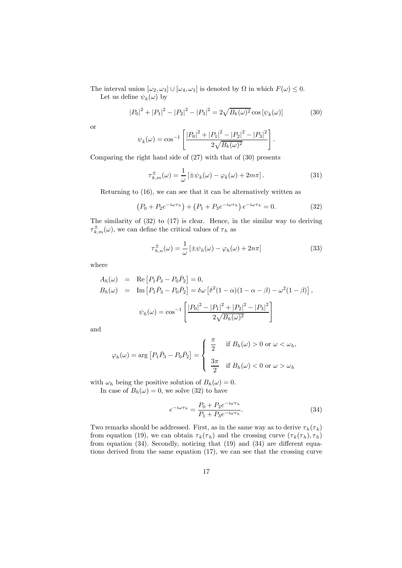The interval union  $[\omega_2, \omega_3] \cup [\omega_4, \omega_1]$  is denoted by  $\Omega$  in which  $F(\omega) \leq 0$ . Let us define  $\psi_k(\omega)$  by

$$
|P_0|^2 + |P_1|^2 - |P_2|^2 - |P_3|^2 = 2\sqrt{B_k(\omega)^2} \cos[\psi_k(\omega)] \tag{30}
$$

or

$$
\psi_k(\omega) = \cos^{-1}\left[\frac{|P_0|^2 + |P_1|^2 - |P_2|^2 - |P_3|^2}{2\sqrt{B_k(\omega)^2}}\right].
$$

Comparing the right hand side of (27) with that of (30) presents

$$
\tau_{k,m}^{\pm}(\omega) = \frac{1}{\omega} \left[ \pm \psi_k(\omega) - \varphi_k(\omega) + 2m\pi \right]. \tag{31}
$$

Returning to (16), we can see that it can be alternatively written as

$$
(P_0 + P_2 e^{-i\omega \tau_h}) + (P_1 + P_3 e^{-i\omega \tau_h}) e^{-i\omega \tau_k} = 0.
$$
 (32)

The similarity of (32) to (17) is clear. Hence, in the similar way to deriving  $\tau_{k,m}^{\pm}(\omega)$ , we can define the critical values of  $\tau_h$  as

$$
\tau_{h,n}^{\pm}(\omega) = \frac{1}{\omega} \left[ \pm \psi_h(\omega) - \varphi_h(\omega) + 2n\pi \right] \tag{33}
$$

where

$$
A_h(\omega) = \text{Re} [P_1 \bar{P}_3 - P_0 \bar{P}_2] = 0,
$$
  
\n
$$
B_h(\omega) = \text{Im} [P_1 \bar{P}_3 - P_0 \bar{P}_2] = \delta \omega [\delta^2 (1 - \alpha)(1 - \alpha - \beta) - \omega^2 (1 - \beta)],
$$
  
\n
$$
\psi_h(\omega) = \cos^{-1} \left[ \frac{|P_0|^2 - |P_1|^2 + |P_2|^2 - |P_3|^2}{2\sqrt{B_h(\omega)^2}} \right]
$$

and

$$
\varphi_h(\omega) = \arg \left[ P_1 \bar{P}_3 - P_0 \bar{P}_2 \right] = \begin{cases} \frac{\pi}{2} & \text{if } B_h(\omega) > 0 \text{ or } \omega < \omega_h, \\ \frac{3\pi}{2} & \text{if } B_h(\omega) < 0 \text{ or } \omega > \omega_h \end{cases}
$$

with  $\omega_h$  being the positive solution of  $B_h(\omega)=0$ .

In case of  $B_h(\omega)=0$ , we solve (32) to have

$$
e^{-i\omega\tau_k} = \frac{P_0 + P_2 e^{-i\omega\tau_k}}{P_1 + P_3 e^{-i\omega\tau_k}}.
$$
\n(34)

Two remarks should be addressed. First, as in the same way as to derive  $\tau_h(\tau_k)$ from equation (19), we can obtain  $\tau_k(\tau_h)$  and the crossing curve  $(\tau_k(\tau_h), \tau_h)$ from equation (34). Secondly, noticing that (19) and (34) are different equations derived from the same equation (17), we can see that the crossing curve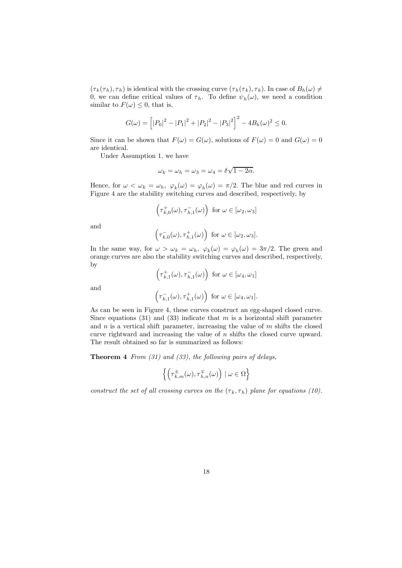$(\tau_k(\tau_h), \tau_h)$  is identical with the crossing curve  $(\tau_h(\tau_k), \tau_k)$ . In case of  $B_h(\omega) \neq$ 0, we can define critical values of  $\tau_h$ . To define  $\psi_h(\omega)$ , we need a condition similar to  $F(\omega) \leq 0$ , that is,

$$
G(\omega) = \left[ |P_0|^2 - |P_1|^2 + |P_2|^2 - |P_3|^2 \right]^2 - 4B_h(\omega)^2 \le 0.
$$

Since it can be shown that  $F(\omega) = G(\omega)$ , solutions of  $F(\omega) = 0$  and  $G(\omega) = 0$ are identical.

Under Assumption 1, we have

$$
\omega_k = \omega_h = \omega_3 = \omega_4 = \delta \sqrt{1 - 2\alpha}.
$$

Hence, for  $\omega < \omega_k = \omega_h$ ,  $\varphi_k(\omega) = \varphi_h(\omega) = \pi/2$ . The blue and red curves in Figure 4 are the stability switching curves and described, respectively, by

$$
\left(\tau_{k,0}^+(\omega),\tau_{h,1}^-(\omega)\right) \text{ for } \omega \in [\omega_2, \omega_3]
$$

and

$$
\left(\tau_{k,0}^-(\omega),\tau_{h,1}^+(\omega)\right)\text{ for }\omega\in[\omega_2,\omega_3].
$$

In the same way, for  $\omega > \omega_k = \omega_h$ ,  $\varphi_k(\omega) = \varphi_h(\omega) = 3\pi/2$ . The green and orange curves are also the stability switching curves and described, respectively, by

$$
\left(\tau_{k,1}^+(\omega),\tau_{h,1}^-(\omega)\right) \text{ for } \omega \in [\omega_4, \omega_1]
$$

and

$$
\Big(\tau_{k,1}^-(\omega),\tau_{h,1}^+(\omega)\Big)\;\;\text{for}\;\omega\in[\omega_4,\omega_1].
$$

As can be seen in Figure 4, these curves construct an egg-shaped closed curve. Since equations (31) and (33) indicate that  $m$  is a horizontal shift parameter and  $n$  is a vertical shift parameter, increasing the value of  $m$  shifts the closed curve rightward and increasing the value of n shifts the closed curve upward. The result obtained so far is summarized as follows:

**Theorem 4** From  $(31)$  and  $(33)$ , the following pairs of delays,

$$
\left\{ \left( \tau_{k,m}^{\pm}(\omega), \tau_{h,n}^{\mp}(\omega) \right) \mid \omega \in \Omega \right\}
$$

construct the set of all crossing curves on the  $(\tau_k, \tau_h)$  plane for equations (10).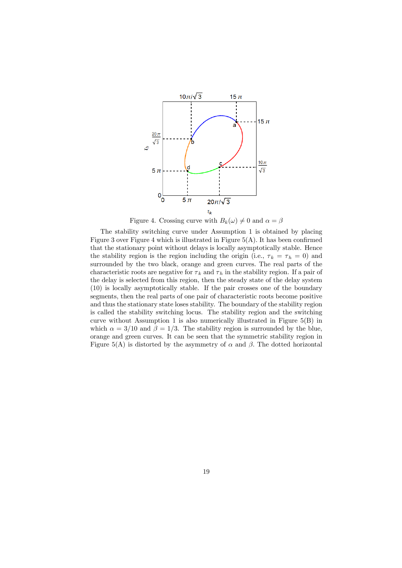

Figure 4. Crossing curve with  $B_k(\omega) \neq 0$  and  $\alpha = \beta$ 

The stability switching curve under Assumption 1 is obtained by placing Figure 3 over Figure 4 which is illustrated in Figure 5(A). It has been confirmed that the stationary point without delays is locally asymptotically stable. Hence the stability region is the region including the origin (i.e.,  $\tau_k = \tau_h = 0$ ) and surrounded by the two black, orange and green curves. The real parts of the characteristic roots are negative for  $\tau_k$  and  $\tau_h$  in the stability region. If a pair of the delay is selected from this region, then the steady state of the delay system (10) is locally asymptotically stable. If the pair crosses one of the boundary segments, then the real parts of one pair of characteristic roots become positive and thus the stationary state loses stability. The boundary of the stability region is called the stability switching locus. The stability region and the switching curve without Assumption 1 is also numerically illustrated in Figure 5(B) in which  $\alpha = 3/10$  and  $\beta = 1/3$ . The stability region is surrounded by the blue, orange and green curves. It can be seen that the symmetric stability region in Figure 5(A) is distorted by the asymmetry of  $\alpha$  and  $\beta$ . The dotted horizontal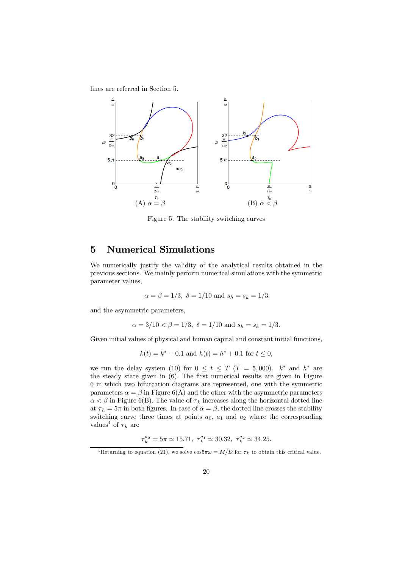lines are referred in Section 5.



Figure 5. The stability switching curves

## 5 Numerical Simulations

We numerically justify the validity of the analytical results obtained in the previous sections. We mainly perform numerical simulations with the symmetric parameter values,

$$
\alpha = \beta = 1/3, \ \delta = 1/10 \text{ and } s_h = s_k = 1/3
$$

and the asymmetric parameters,

$$
\alpha = 3/10 < \beta = 1/3, \delta = 1/10
$$
 and  $s_h = s_k = 1/3$ .

Given initial values of physical and human capital and constant initial functions,

$$
k(t) = k^* + 0.1
$$
 and  $h(t) = h^* + 0.1$  for  $t \le 0$ ,

we run the delay system (10) for  $0 \le t \le T$  (T = 5,000).  $k^*$  and  $h^*$  are the steady state given in (6). The first numerical results are given in Figure 6 in which two bifurcation diagrams are represented, one with the symmetric parameters  $\alpha = \beta$  in Figure 6(A) and the other with the asymmetric parameters  $\alpha < \beta$  in Figure 6(B). The value of  $\tau_k$  increases along the horizontal dotted line at  $\tau_h = 5\pi$  in both figures. In case of  $\alpha = \beta$ , the dotted line crosses the stability switching curve three times at points  $a_0$ ,  $a_1$  and  $a_2$  where the corresponding values<sup>4</sup> of  $\tau_k$  are

$$
\tau_k^{a_0} = 5\pi \simeq 15.71, \ \tau_k^{a_1} \simeq 30.32, \ \tau_k^{a_2} \simeq 34.25.
$$

<sup>&</sup>lt;sup>4</sup>Returning to equation (21), we solve  $\cos 5\pi \omega = M/D$  for  $\tau_k$  to obtain this critical value.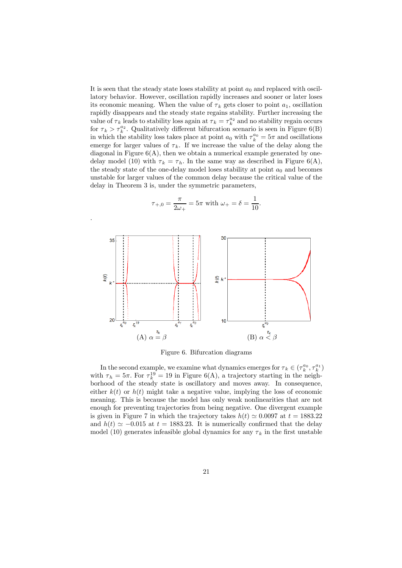It is seen that the steady state loses stability at point  $a_0$  and replaced with oscillatory behavior. However, oscillation rapidly increases and sooner or later loses its economic meaning. When the value of  $\tau_k$  gets closer to point  $a_1$ , oscillation rapidly disappears and the steady state regains stability. Further increasing the value of  $\tau_k$  leads to stability loss again at  $\tau_k = \tau_k^{a_2}$  and no stability regain occurs for  $\tau_k > \tau_k^{a_2}$ . Qualitatively different bifurcation scenario is seen in Figure 6(B) in which the stability loss takes place at point  $a_0$  with  $\tau_k^{a_0} = 5\pi$  and oscillations emerge for larger values of  $\tau_k$ . If we increase the value of the delay along the diagonal in Figure  $6(A)$ , then we obtain a numerical example generated by onedelay model (10) with  $\tau_k = \tau_h$ . In the same way as described in Figure 6(A), the steady state of the one-delay model loses stability at point  $a_0$  and becomes unstable for larger values of the common delay because the critical value of the delay in Theorem 3 is, under the symmetric parameters,

$$
\tau_{+,0} = \frac{\pi}{2\omega_+} = 5\pi
$$
 with  $\omega_+ = \delta = \frac{1}{10}$ .

.



Figure 6. Bifurcation diagrams

In the second example, we examine what dynamics emerges for  $\tau_k \in (\tau_k^{a_0}, \tau_k^{a_1})$ with  $\tau_h = 5\pi$ . For  $\tau_k^{19} = 19$  in Figure 6(A), a trajectory starting in the neighborhood of the steady state is oscillatory and moves away. In consequence, either  $k(t)$  or  $h(t)$  might take a negative value, implying the loss of economic meaning. This is because the model has only weak nonlinearities that are not enough for preventing trajectories from being negative. One divergent example is given in Figure 7 in which the trajectory takes  $h(t) \approx 0.0097$  at  $t = 1883.22$ and  $h(t) \approx -0.015$  at  $t = 1883.23$ . It is numerically confirmed that the delay model (10) generates infeasible global dynamics for any  $\tau_k$  in the first unstable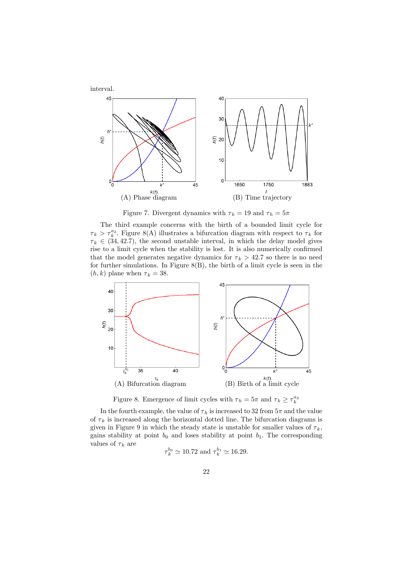

Figure 7. Divergent dynamics with  $\tau_k = 19$  and  $\tau_h = 5\pi$ 

The third example concerns with the birth of a bounded limit cycle for  $\tau_k > \tau_k^{a_2}$ . Figure 8(A) illustrates a bifurcation diagram with respect to  $\tau_k$  for  $\tau_k \in (34, 42.7)$ , the second unstable interval, in which the delay model gives rise to a limit cycle when the stability is lost. It is also numerically confirmed that the model generates negative dynamics for  $\tau_k > 42.7$  so there is no need for further simulations. In Figure 8(B), the birth of a limit cycle is seen in the  $(h, k)$  plane when  $\tau_k = 38$ .



Figure 8. Emergence of limit cycles with  $\tau_h = 5\pi$  and  $\tau_k \geq \tau_k^{a_2}$ 

In the fourth example, the value of  $\tau_h$  is increased to 32 from  $5\pi$  and the value of  $\tau_k$  is increased along the horizontal dotted line. The bifurcation diagrams is given in Figure 9 in which the steady state is unstable for smaller values of  $\tau_k$ , gains stability at point  $b_0$  and loses stability at point  $b_1$ . The corresponding values of  $\tau_k$  are

$$
\tau_k^{b_0} \simeq 10.72
$$
 and  $\tau_k^{b_1} \simeq 16.29$ .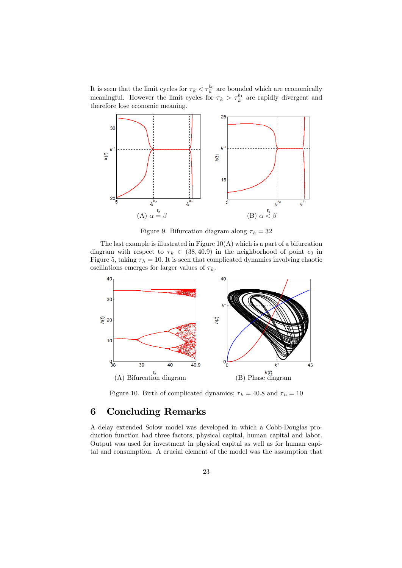It is seen that the limit cycles for  $\tau_k < \tau_k^{b_0}$  are bounded which are economically meaningful. However the limit cycles for  $\tau_k > \tau_k^{b_1}$  are rapidly divergent and therefore lose economic meaning.



Figure 9. Bifurcation diagram along  $\tau_h = 32$ 

The last example is illustrated in Figure  $10(A)$  which is a part of a bifurcation diagram with respect to  $\tau_k \in (38, 40.9)$  in the neighborhood of point  $c_0$  in Figure 5, taking  $\tau_h = 10$ . It is seen that complicated dynamics involving chaotic oscillations emerges for larger values of  $\tau_k$ .



Figure 10. Birth of complicated dynamics;  $\tau_k = 40.8$  and  $\tau_h = 10$ 

### 6 Concluding Remarks

A delay extended Solow model was developed in which a Cobb-Douglas production function had three factors, physical capital, human capital and labor. Output was used for investment in physical capital as well as for human capital and consumption. A crucial element of the model was the assumption that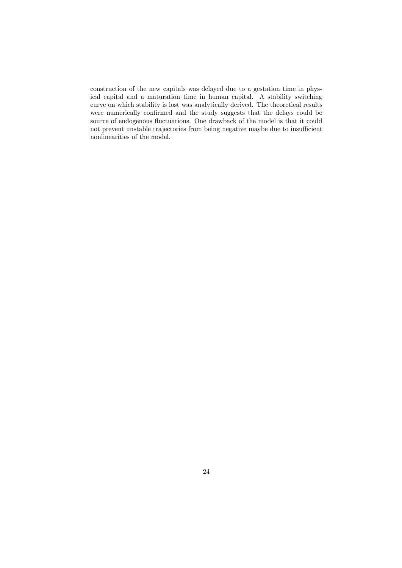construction of the new capitals was delayed due to a gestation time in physical capital and a maturation time in human capital. A stability switching curve on which stability is lost was analytically derived. The theoretical results were numerically confirmed and the study suggests that the delays could be source of endogenous fluctuations. One drawback of the model is that it could not prevent unstable trajectories from being negative maybe due to insufficient nonlinearities of the model.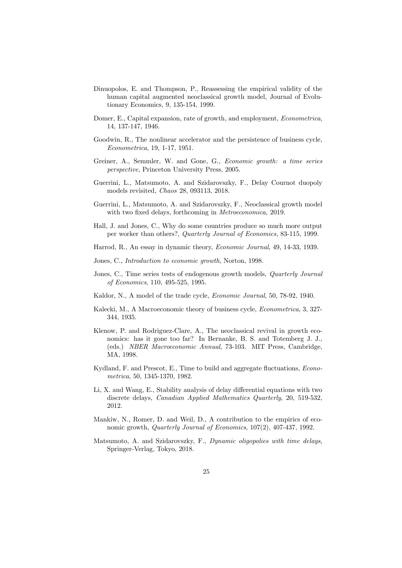- Dinuopolos, E. and Thompson, P., Reassessing the empirical validity of the human capital augmented neoclassical growth model, Journal of Evolutionary Economics, 9, 135-154, 1999.
- Domer, E., Capital expansion, rate of growth, and employment, Econometrica, 14, 137-147, 1946.
- Goodwin, R., The nonlinear accelerator and the persistence of business cycle, Econometrica, 19, 1-17, 1951.
- Greiner, A., Semmler, W. and Gone, G., Economic growth: a time series perspective, Princeton University Press, 2005.
- Guerrini, L., Matsumoto, A. and Szidarovszky, F., Delay Cournot duopoly models revisited, Chaos 28, 093113, 2018.
- Guerrini, L., Matsumoto, A. and Szidarovszky, F., Neoclassical growth model with two fixed delays, forthcoming in *Metroeconomica*, 2019.
- Hall, J. and Jones, C., Why do some countries produce so much more output per worker than others?, Quarterly Journal of Economics, 83-115, 1999.
- Harrod, R., An essay in dynamic theory, Economic Journal, 49, 14-33, 1939.
- Jones, C., Introduction to economic growth, Norton, 1998.
- Jones, C., Time series tests of endogenous growth models, *Quarterly Journal* of Economics, 110, 495-525, 1995.
- Kaldor, N., A model of the trade cycle, Economic Journal, 50, 78-92, 1940.
- Kalecki, M., A Macroeconomic theory of business cycle, Econometrica, 3, 327- 344, 1935.
- Klenow, P. and Rodriguez-Clare, A., The neoclassical revival in growth economics: has it gone too far? In Bernanke, B. S. and Totemberg J. J., (eds.) NBER Macroeconomic Annual, 73-103. MIT Press, Cambridge, MA, 1998.
- Kydland, F. and Prescot, E., Time to build and aggregate fluctuations, Econometrica, 50, 1345-1370, 1982.
- Li, X. and Wang, E., Stability analysis of delay differential equations with two discrete delays, Canadian Applied Mathematics Quarterly, 20, 519-532, 2012.
- Mankiw, N., Romer, D. and Weil, D., A contribution to the empirics of economic growth, Quarterly Journal of Economics, 107(2), 407-437, 1992.
- Matsumoto, A. and Szidarovszky, F., Dynamic oligopolies with time delays, Springer-Verlag, Tokyo, 2018.